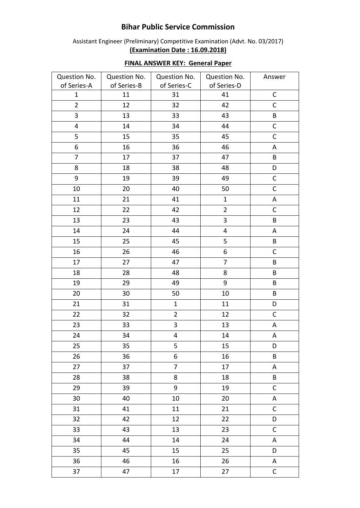## **Bihar Public Service Commission**

Assistant Engineer (Preliminary) Competitive Examination (Advt. No. 03/2017) **(Examination Date : 16.09.2018)**

| Question No.   | Question No. | Question No.   | Question No.            | Answer      |
|----------------|--------------|----------------|-------------------------|-------------|
| of Series-A    | of Series-B  | of Series-C    | of Series-D             |             |
| $\mathbf{1}$   | 11           | 31             | 41                      | $\mathsf C$ |
| $\overline{2}$ | 12           | 32             | 42                      | $\mathsf C$ |
| 3              | 13           | 33             | 43                      | B           |
| 4              | 14           | 34             | 44                      | $\mathsf C$ |
| 5              | 15           | 35             | 45                      | $\mathsf C$ |
| 6              | 16           | 36             | 46                      | $\mathsf A$ |
| $\overline{7}$ | 17           | 37             | 47                      | $\sf B$     |
| 8              | 18           | 38             | 48                      | D           |
| 9              | 19           | 39             | 49                      | $\mathsf C$ |
| 10             | 20           | 40             | 50                      | $\mathsf C$ |
| 11             | 21           | 41             | $\mathbf{1}$            | $\mathsf A$ |
| 12             | 22           | 42             | $\overline{2}$          | $\mathsf C$ |
| 13             | 23           | 43             | $\overline{\mathbf{3}}$ | B           |
| 14             | 24           | 44             | $\overline{\mathbf{4}}$ | $\mathsf A$ |
| 15             | 25           | 45             | 5                       | B           |
| 16             | 26           | 46             | 6                       | $\mathsf C$ |
| 17             | 27           | 47             | $\overline{7}$          | B           |
| 18             | 28           | 48             | 8                       | B           |
| 19             | 29           | 49             | 9                       | $\sf{B}$    |
| 20             | 30           | 50             | 10                      | $\sf{B}$    |
| 21             | 31           | $\mathbf 1$    | 11                      | D           |
| 22             | 32           | $\overline{2}$ | 12                      | $\mathsf C$ |
| 23             | 33           | 3              | 13                      | A           |
| 24             | 34           | 4              | 14                      | A           |
| 25             | 35           | 5              | 15                      | D           |
| 26             | 36           | 6              | 16                      | $\sf{B}$    |
| 27             | 37           | $\overline{7}$ | 17                      | A           |
| 28             | 38           | 8              | 18                      | B           |
| 29             | 39           | 9              | 19                      | $\mathsf C$ |
| 30             | 40           | 10             | 20                      | $\mathsf A$ |
| 31             | 41           | 11             | 21                      | $\mathsf C$ |
| 32             | 42           | 12             | 22                      | D           |
| 33             | 43           | 13             | 23                      | $\mathsf C$ |
| 34             | 44           | 14             | 24                      | A           |
| 35             | 45           | 15             | 25                      | D           |
| 36             | 46           | 16             | 26                      | A           |
| 37             | 47           | $17\,$         | 27                      | $\mathsf C$ |

## **FINAL ANSWER KEY: General Paper**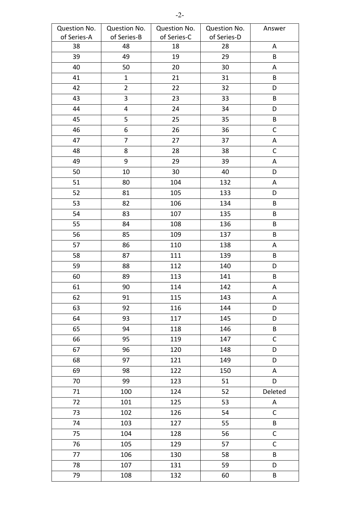| Question No. | Question No.   | Question No. | Question No. | Answer       |
|--------------|----------------|--------------|--------------|--------------|
| of Series-A  | of Series-B    | of Series-C  | of Series-D  |              |
| 38           | 48             | 18           | 28           | A            |
| 39           | 49             | 19           | 29           | B            |
| 40           | 50             | 20           | 30           | A            |
| 41           | $\mathbf{1}$   | 21           | 31           | B            |
| 42           | $\overline{2}$ | 22           | 32           | D            |
| 43           | 3              | 23           | 33           | B            |
| 44           | 4              | 24           | 34           | D            |
| 45           | 5              | 25           | 35           | B            |
| 46           | 6              | 26           | 36           | $\mathsf{C}$ |
| 47           | $\overline{7}$ | 27           | 37           | A            |
| 48           | 8              | 28           | 38           | $\mathsf C$  |
| 49           | 9              | 29           | 39           | A            |
| 50           | 10             | 30           | 40           | D            |
| 51           | 80             | 104          | 132          | A            |
| 52           | 81             | 105          | 133          | D            |
| 53           | 82             | 106          | 134          | B            |
| 54           | 83             | 107          | 135          | B            |
| 55           | 84             | 108          | 136          | B            |
| 56           | 85             | 109          | 137          | B            |
| 57           | 86             | 110          | 138          | A            |
| 58           | 87             | 111          | 139          | B            |
| 59           | 88             | 112          | 140          | D            |
| 60           | 89             | 113          | 141          | B            |
| 61           | 90             | 114          | 142          | $\mathsf A$  |
| 62           | 91             | 115          | 143          | A            |
| 63           | 92             | 116          | 144          | D            |
| 64           | 93             | 117          | 145          | D            |
| 65           | 94             | 118          | 146          | B            |
| 66           | 95             | 119          | 147          | $\mathsf C$  |
| 67           | 96             | 120          | 148          | D            |
| 68           | 97             | 121          | 149          | D            |
| 69           | 98             | 122          | 150          | A            |
| 70           | 99             | 123          | 51           | D            |
| 71           | 100            | 124          | 52           | Deleted      |
| 72           | 101            | 125          | 53           | A            |
| 73           | 102            | 126          | 54           | $\mathsf C$  |
| 74           | 103            | 127          | 55           | B            |
| 75           | 104            | 128          | 56           | $\mathsf{C}$ |
| 76           | 105            | 129          | 57           | $\mathsf C$  |
| 77           | 106            | 130          | 58           | B            |
| 78           | 107            | 131          | 59           | D            |
| 79           | 108            | 132          | 60           | B            |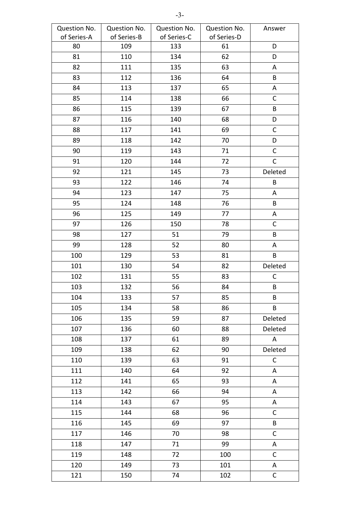| Question No. | Question No. | Question No. | Question No. | Answer       |
|--------------|--------------|--------------|--------------|--------------|
| of Series-A  | of Series-B  | of Series-C  | of Series-D  |              |
| 80           | 109          | 133          | 61           | D            |
| 81           | 110          | 134          | 62           | D            |
| 82           | 111          | 135          | 63           | A            |
| 83           | 112          | 136          | 64           | B            |
| 84           | 113          | 137          | 65           | A            |
| 85           | 114          | 138          | 66           | $\mathsf C$  |
| 86           | 115          | 139          | 67           | $\sf{B}$     |
| 87           | 116          | 140          | 68           | D            |
| 88           | 117          | 141          | 69           | $\mathsf C$  |
| 89           | 118          | 142          | 70           | D            |
| 90           | 119          | 143          | 71           | C            |
| 91           | 120          | 144          | 72           | $\mathsf C$  |
| 92           | 121          | 145          | 73           | Deleted      |
| 93           | 122          | 146          | 74           | B            |
| 94           | 123          | 147          | 75           | A            |
| 95           | 124          | 148          | 76           | B            |
| 96           | 125          | 149          | 77           | A            |
| 97           | 126          | 150          | 78           | $\mathsf{C}$ |
| 98           | 127          | 51           | 79           | B            |
| 99           | 128          | 52           | 80           | A            |
| 100          | 129          | 53           | 81           | B            |
| 101          | 130          | 54           | 82           | Deleted      |
| 102          | 131          | 55           | 83           | $\mathsf C$  |
| 103          | 132          | 56           | 84           | B            |
| 104          | 133          | 57           | 85           | B            |
| 105          | 134          | 58           | 86           | B            |
| 106          | 135          | 59           | 87           | Deleted      |
| 107          | 136          | 60           | 88           | Deleted      |
| 108          | 137          | 61           | 89           | A            |
| 109          | 138          | 62           | 90           | Deleted      |
| 110          | 139          | 63           | 91           | $\mathsf C$  |
| 111          | 140          | 64           | 92           | A            |
| 112          | 141          | 65           | 93           | A            |
| 113          | 142          | 66           | 94           | A            |
| 114          | 143          | 67           | 95           | A            |
| 115          | 144          | 68           | 96           | $\mathsf C$  |
| 116          | 145          | 69           | 97           | B            |
| 117          | 146          | 70           | 98           | $\mathsf{C}$ |
| 118          | 147          | 71           | 99           | A            |
| 119          | 148          | 72           | 100          | $\mathsf{C}$ |
| 120          | 149          | 73           | 101          | Α            |
| 121          | 150          | 74           | 102          | C            |